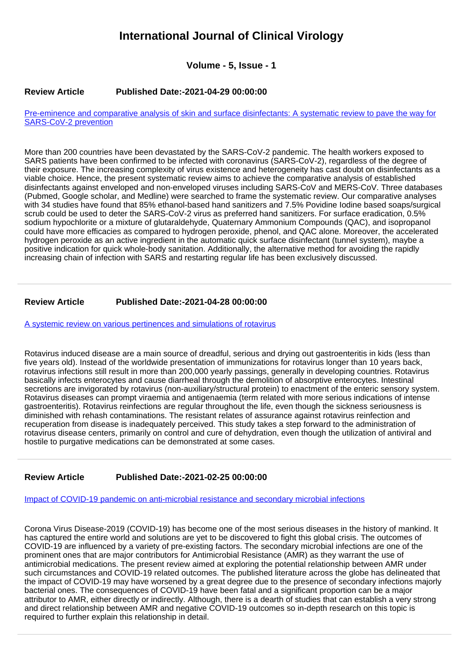# **International Journal of Clinical Virology**

**Volume - 5, Issue - 1**

## **Review Article Published Date:-2021-04-29 00:00:00**

[Pre-eminence and comparative analysis of skin and surface disinfectants: A systematic review to pave the way for](https://www.clinvirologyjournal.com/articles/ijcv-aid1035.pdf) [SARS-CoV-2 prevention](https://www.clinvirologyjournal.com/articles/ijcv-aid1035.pdf)

More than 200 countries have been devastated by the SARS-CoV-2 pandemic. The health workers exposed to SARS patients have been confirmed to be infected with coronavirus (SARS-CoV-2), regardless of the degree of their exposure. The increasing complexity of virus existence and heterogeneity has cast doubt on disinfectants as a viable choice. Hence, the present systematic review aims to achieve the comparative analysis of established disinfectants against enveloped and non-enveloped viruses including SARS-CoV and MERS-CoV. Three databases (Pubmed, Google scholar, and Medline) were searched to frame the systematic review. Our comparative analyses with 34 studies have found that 85% ethanol-based hand sanitizers and 7.5% Povidine Iodine based soaps/surgical scrub could be used to deter the SARS-CoV-2 virus as preferred hand sanitizers. For surface eradication, 0.5% sodium hypochlorite or a mixture of glutaraldehyde, Quaternary Ammonium Compounds (QAC), and isopropanol could have more efficacies as compared to hydrogen peroxide, phenol, and QAC alone. Moreover, the accelerated hydrogen peroxide as an active ingredient in the automatic quick surface disinfectant (tunnel system), maybe a positive indication for quick whole-body sanitation. Additionally, the alternative method for avoiding the rapidly increasing chain of infection with SARS and restarting regular life has been exclusively discussed.

### **Review Article Published Date:-2021-04-28 00:00:00**

[A systemic review on various pertinences and simulations of rotavirus](https://www.clinvirologyjournal.com/articles/ijcv-aid1034.pdf)

Rotavirus induced disease are a main source of dreadful, serious and drying out gastroenteritis in kids (less than five years old). Instead of the worldwide presentation of immunizations for rotavirus longer than 10 years back, rotavirus infections still result in more than 200,000 yearly passings, generally in developing countries. Rotavirus basically infects enterocytes and cause diarrheal through the demolition of absorptive enterocytes. Intestinal secretions are invigorated by rotavirus (non-auxiliary/structural protein) to enactment of the enteric sensory system. Rotavirus diseases can prompt viraemia and antigenaemia (term related with more serious indications of intense gastroenteritis). Rotavirus reinfections are regular throughout the life, even though the sickness seriousness is diminished with rehash contaminations. The resistant relates of assurance against rotavirus reinfection and recuperation from disease is inadequately perceived. This study takes a step forward to the administration of rotavirus disease centers, primarily on control and cure of dehydration, even though the utilization of antiviral and hostile to purgative medications can be demonstrated at some cases.

**Review Article Published Date:-2021-02-25 00:00:00**

[Impact of COVID-19 pandemic on anti-microbial resistance and secondary microbial infections](https://www.clinvirologyjournal.com/articles/ijcv-aid1032.pdf)

Corona Virus Disease-2019 (COVID-19) has become one of the most serious diseases in the history of mankind. It has captured the entire world and solutions are yet to be discovered to fight this global crisis. The outcomes of COVID-19 are influenced by a variety of pre-existing factors. The secondary microbial infections are one of the prominent ones that are major contributors for Antimicrobial Resistance (AMR) as they warrant the use of antimicrobial medications. The present review aimed at exploring the potential relationship between AMR under such circumstances and COVID-19 related outcomes. The published literature across the globe has delineated that the impact of COVID-19 may have worsened by a great degree due to the presence of secondary infections majorly bacterial ones. The consequences of COVID-19 have been fatal and a significant proportion can be a major attributor to AMR, either directly or indirectly. Although, there is a dearth of studies that can establish a very strong and direct relationship between AMR and negative COVID-19 outcomes so in-depth research on this topic is required to further explain this relationship in detail.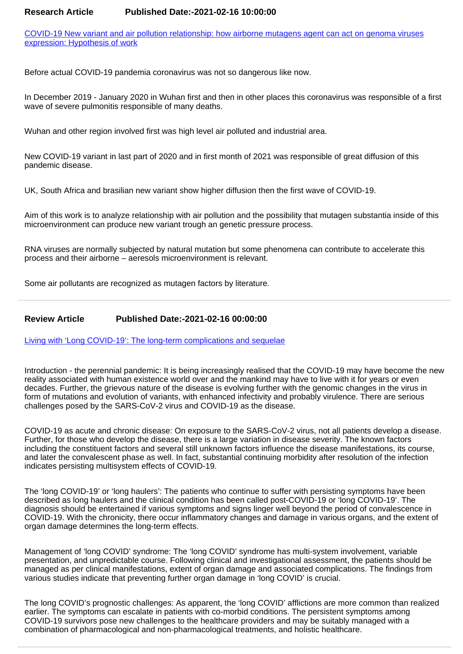# **Research Article Published Date:-2021-02-16 10:00:00**

[COVID-19 New variant and air pollution relationship: how airborne mutagens agent can act on genoma viruses](https://www.clinvirologyjournal.com/articles/ijcv-aid1031.pdf) [expression: Hypothesis of work](https://www.clinvirologyjournal.com/articles/ijcv-aid1031.pdf)

Before actual COVID-19 pandemia coronavirus was not so dangerous like now.

In December 2019 - January 2020 in Wuhan first and then in other places this coronavirus was responsible of a first wave of severe pulmonitis responsible of many deaths.

Wuhan and other region involved first was high level air polluted and industrial area.

New COVID-19 variant in last part of 2020 and in first month of 2021 was responsible of great diffusion of this pandemic disease.

UK, South Africa and brasilian new variant show higher diffusion then the first wave of COVID-19.

Aim of this work is to analyze relationship with air pollution and the possibility that mutagen substantia inside of this microenvironment can produce new variant trough an genetic pressure process.

RNA viruses are normally subjected by natural mutation but some phenomena can contribute to accelerate this process and their airborne – aeresols microenvironment is relevant.

Some air pollutants are recognized as mutagen factors by literature.

### **Review Article Published Date:-2021-02-16 00:00:00**

[Living with 'Long COVID-19': The long-term complications and sequelae](https://www.clinvirologyjournal.com/articles/ijcv-aid1030.pdf)

Introduction - the perennial pandemic: It is being increasingly realised that the COVID-19 may have become the new reality associated with human existence world over and the mankind may have to live with it for years or even decades. Further, the grievous nature of the disease is evolving further with the genomic changes in the virus in form of mutations and evolution of variants, with enhanced infectivity and probably virulence. There are serious challenges posed by the SARS-CoV-2 virus and COVID-19 as the disease.

COVID-19 as acute and chronic disease: On exposure to the SARS-CoV-2 virus, not all patients develop a disease. Further, for those who develop the disease, there is a large variation in disease severity. The known factors including the constituent factors and several still unknown factors influence the disease manifestations, its course, and later the convalescent phase as well. In fact, substantial continuing morbidity after resolution of the infection indicates persisting multisystem effects of COVID-19.

The 'long COVID-19' or 'long haulers': The patients who continue to suffer with persisting symptoms have been described as long haulers and the clinical condition has been called post-COVID-19 or 'long COVID-19'. The diagnosis should be entertained if various symptoms and signs linger well beyond the period of convalescence in COVID-19. With the chronicity, there occur inflammatory changes and damage in various organs, and the extent of organ damage determines the long-term effects.

Management of 'long COVID' syndrome: The 'long COVID' syndrome has multi-system involvement, variable presentation, and unpredictable course. Following clinical and investigational assessment, the patients should be managed as per clinical manifestations, extent of organ damage and associated complications. The findings from various studies indicate that preventing further organ damage in 'long COVID' is crucial.

The long COVID's prognostic challenges: As apparent, the 'long COVID' afflictions are more common than realized earlier. The symptoms can escalate in patients with co-morbid conditions. The persistent symptoms among COVID-19 survivors pose new challenges to the healthcare providers and may be suitably managed with a combination of pharmacological and non-pharmacological treatments, and holistic healthcare.